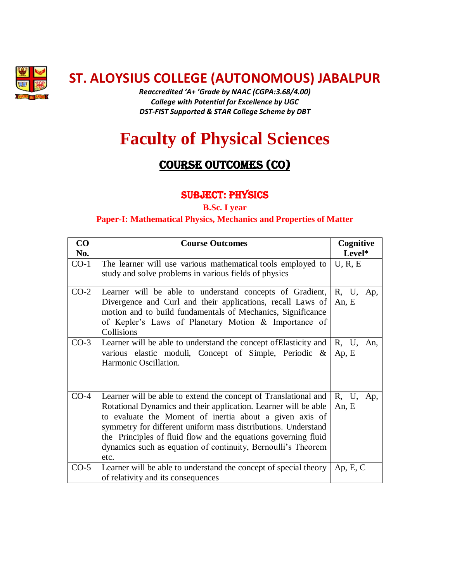

**ST. ALOYSIUS COLLEGE (AUTONOMOUS) JABALPUR**

*Reaccredited 'A+ 'Grade by NAAC (CGPA:3.68/4.00) College with Potential for Excellence by UGC DST-FIST Supported & STAR College Scheme by DBT*

# **Faculty of Physical Sciences**

# Course OUTCOMES (cO)

## SUBJECT: PHYSICS

**B.Sc. I year**

#### **Paper-I: Mathematical Physics, Mechanics and Properties of Matter**

| $\bf CO$ | <b>Course Outcomes</b>                                                                                                                                                                                                                                                                                                                                                                                   | Cognitive             |
|----------|----------------------------------------------------------------------------------------------------------------------------------------------------------------------------------------------------------------------------------------------------------------------------------------------------------------------------------------------------------------------------------------------------------|-----------------------|
| No.      |                                                                                                                                                                                                                                                                                                                                                                                                          | Level*                |
| $CO-1$   | The learner will use various mathematical tools employed to<br>study and solve problems in various fields of physics                                                                                                                                                                                                                                                                                     | U, R, E               |
| $CO-2$   | Learner will be able to understand concepts of Gradient,<br>Divergence and Curl and their applications, recall Laws of<br>motion and to build fundamentals of Mechanics, Significance<br>of Kepler's Laws of Planetary Motion & Importance of<br>Collisions                                                                                                                                              | R, U, Ap,<br>An, E    |
| $CO-3$   | Learner will be able to understand the concept of Elasticity and<br>various elastic moduli, Concept of Simple, Periodic &<br>Harmonic Oscillation.                                                                                                                                                                                                                                                       | R, U,<br>An,<br>Ap, E |
| $CO-4$   | Learner will be able to extend the concept of Translational and<br>Rotational Dynamics and their application. Learner will be able<br>to evaluate the Moment of inertia about a given axis of<br>symmetry for different uniform mass distributions. Understand<br>the Principles of fluid flow and the equations governing fluid<br>dynamics such as equation of continuity, Bernoulli's Theorem<br>etc. | R, U,<br>Ap,<br>An, E |
| $CO-5$   | Learner will be able to understand the concept of special theory<br>of relativity and its consequences                                                                                                                                                                                                                                                                                                   | Ap, E, C              |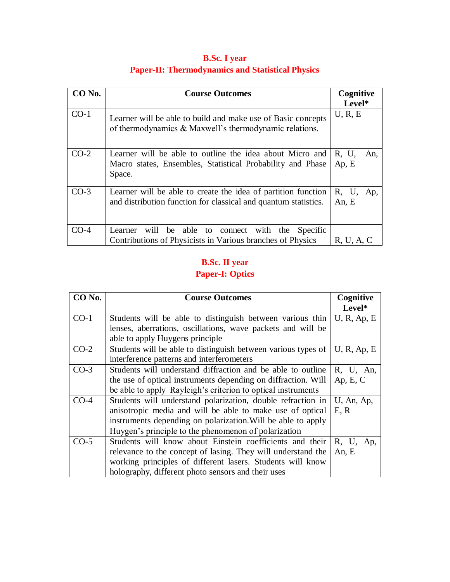| CO No. | <b>Course Outcomes</b>                                                                                                           | Cognitive<br>Level*     |
|--------|----------------------------------------------------------------------------------------------------------------------------------|-------------------------|
| $CO-1$ | Learner will be able to build and make use of Basic concepts<br>of thermodynamics & Maxwell's thermodynamic relations.           | U, R, E                 |
| $CO-2$ | Learner will be able to outline the idea about Micro and<br>Macro states, Ensembles, Statistical Probability and Phase<br>Space. | R, U,<br>An,<br>Ap, E   |
| $CO-3$ | Learner will be able to create the idea of partition function<br>and distribution function for classical and quantum statistics. | R, U,<br>Ap,<br>An, $E$ |
| $CO-4$ | will be able to<br>connect with the Specific<br>Learner<br>Contributions of Physicists in Various branches of Physics            | R, U, A, C              |

# **B.Sc. I year Paper-II: Thermodynamics and Statistical Physics**

# **B.Sc. II year**

# **Paper-I: Optics**

| CO <sub>No.</sub> | <b>Course Outcomes</b>                                        | Cognitive   |
|-------------------|---------------------------------------------------------------|-------------|
|                   |                                                               | Level*      |
| $CO-1$            | Students will be able to distinguish between various thin     | U, R, Ap, E |
|                   | lenses, aberrations, oscillations, wave packets and will be   |             |
|                   | able to apply Huygens principle                               |             |
| $CO-2$            | Students will be able to distinguish between various types of | U, R, Ap, E |
|                   | interference patterns and interferometers                     |             |
| $CO-3$            | Students will understand diffraction and be able to outline   | R, U, An,   |
|                   | the use of optical instruments depending on diffraction. Will | Ap, E, C    |
|                   | be able to apply Rayleigh's criterion to optical instruments  |             |
| $CO-4$            | Students will understand polarization, double refraction in   | U, An, Ap,  |
|                   | anisotropic media and will be able to make use of optical     | E, R        |
|                   | instruments depending on polarization. Will be able to apply  |             |
|                   | Huygen's principle to the phenomenon of polarization          |             |
| $CO-5$            | Students will know about Einstein coefficients and their      | R, U, Ap,   |
|                   | relevance to the concept of lasing. They will understand the  | An, E       |
|                   | working principles of different lasers. Students will know    |             |
|                   | holography, different photo sensors and their uses            |             |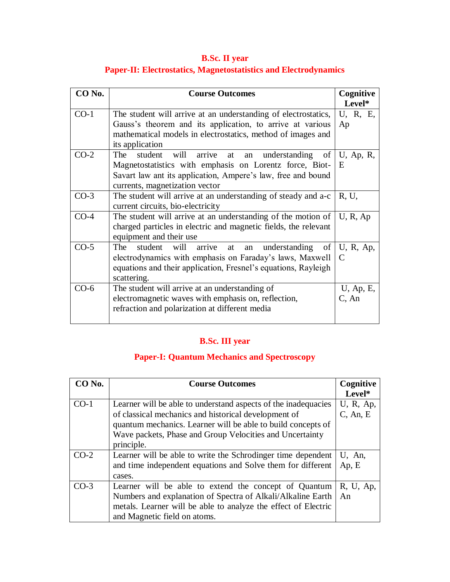# **B.Sc. II year Paper-II: Electrostatics, Magnetostatistics and Electrodynamics**

| CO No. | <b>Course Outcomes</b>                                                                                                                                                                                                                      | Cognitive<br>Level*      |
|--------|---------------------------------------------------------------------------------------------------------------------------------------------------------------------------------------------------------------------------------------------|--------------------------|
| $CO-1$ | The student will arrive at an understanding of electrostatics,<br>Gauss's theorem and its application, to arrive at various<br>mathematical models in electrostatics, method of images and<br>its application                               | U, R, E,<br>Ap           |
| $CO-2$ | will<br>The<br>student<br>arrive<br>understanding of $ U, Ap, R$ ,<br>at<br>an<br>Magnetostatistics with emphasis on Lorentz force, Biot-<br>Savart law ant its application, Ampere's law, free and bound<br>currents, magnetization vector | E                        |
| $CO-3$ | The student will arrive at an understanding of steady and a-c<br>current circuits, bio-electricity                                                                                                                                          | R, U,                    |
| $CO-4$ | The student will arrive at an understanding of the motion of<br>charged particles in electric and magnetic fields, the relevant<br>equipment and their use                                                                                  | U, R, Ap                 |
| $CO-5$ | The<br>understanding of $\vert$ U, R, Ap,<br>student will arrive<br>at<br>an<br>electrodynamics with emphasis on Faraday's laws, Maxwell<br>equations and their application, Fresnel's equations, Rayleigh<br>scattering.                   | $\mathcal{C}$            |
| $CO-6$ | The student will arrive at an understanding of<br>electromagnetic waves with emphasis on, reflection,<br>refraction and polarization at different media                                                                                     | $U$ , Ap, E,<br>$C$ , An |

# **B.Sc. III year**

### **Paper-I: Quantum Mechanics and Spectroscopy**

| CO No. | <b>Course Outcomes</b>                                                                                               | Cognitive   |
|--------|----------------------------------------------------------------------------------------------------------------------|-------------|
|        |                                                                                                                      | Level*      |
| $CO-1$ | Learner will be able to understand aspects of the inadequacies                                                       | U, R, Ap,   |
|        | of classical mechanics and historical development of<br>quantum mechanics. Learner will be able to build concepts of | $C$ , An, E |
|        | Wave packets, Phase and Group Velocities and Uncertainty                                                             |             |
|        | principle.                                                                                                           |             |
| $CO-2$ | Learner will be able to write the Schrodinger time dependent                                                         | U, An,      |
|        | and time independent equations and Solve them for different                                                          | Ap, E       |
|        | cases.                                                                                                               |             |
| $CO-3$ | Learner will be able to extend the concept of Quantum                                                                | R, U, Ap,   |
|        | Numbers and explanation of Spectra of Alkali/Alkaline Earth                                                          | An          |
|        | metals. Learner will be able to analyze the effect of Electric                                                       |             |
|        | and Magnetic field on atoms.                                                                                         |             |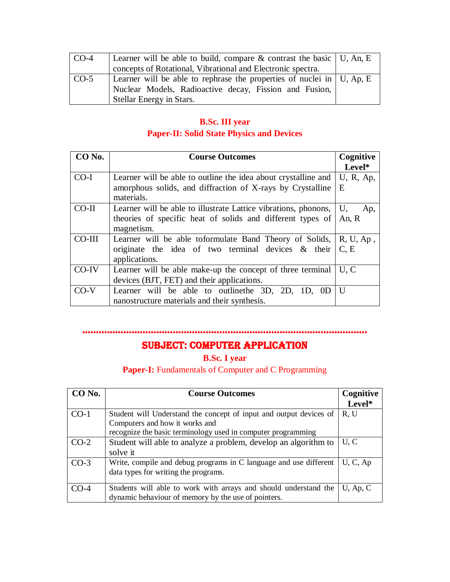| $ CO-4$ | Learner will be able to build, compare & contrast the basic   U, An, E  |  |
|---------|-------------------------------------------------------------------------|--|
|         | concepts of Rotational, Vibrational and Electronic spectra.             |  |
| $CO-5$  | Learner will be able to rephrase the properties of nuclei in   U, Ap, E |  |
|         | Nuclear Models, Radioactive decay, Fission and Fusion,                  |  |
|         | Stellar Energy in Stars.                                                |  |

## **B.Sc. III year Paper-II: Solid State Physics and Devices**

| CO No.  | <b>Course Outcomes</b>                                          | Cognitive    |
|---------|-----------------------------------------------------------------|--------------|
|         |                                                                 | Level*       |
| $CO-I$  | Learner will be able to outline the idea about crystalline and  | $U$ , R, Ap, |
|         | amorphous solids, and diffraction of X-rays by Crystalline      | E            |
|         | materials.                                                      |              |
| $CO-II$ | Learner will be able to illustrate Lattice vibrations, phonons, | U.<br>Ap,    |
|         | theories of specific heat of solids and different types of      | An, $R$      |
|         | magnetism.                                                      |              |
| CO-III  | Learner will be able toformulate Band Theory of Solids,         | $R, U, Ap$ , |
|         | originate the idea of two terminal devices $\&$ their           | C, E         |
|         | applications.                                                   |              |
| CO-IV   | Learner will be able make-up the concept of three terminal      | U, C         |
|         | devices (BJT, FET) and their applications.                      |              |
| $CO-V$  | Learner will be able to outline the 3D, 2D, 1D, 0D              | $\mathbf{U}$ |
|         | nanostructure materials and their synthesis.                    |              |

#### ……………………………………………………………

# SUBJECT: COMPUTER APPLICATION

**B.Sc. I year** 

Paper-I: Fundamentals of Computer and C Programming

| CO No. | <b>Course Outcomes</b>                                                                                                                                               | Cognitive   |
|--------|----------------------------------------------------------------------------------------------------------------------------------------------------------------------|-------------|
|        |                                                                                                                                                                      | Level*      |
| $CO-1$ | Student will Understand the concept of input and output devices of<br>Computers and how it works and<br>recognize the basic terminology used in computer programming | R, U        |
| $CO-2$ | Student will able to analyze a problem, develop an algorithm to<br>solve it                                                                                          | U, C        |
| $CO-3$ | Write, compile and debug programs in C language and use different<br>data types for writing the programs.                                                            | U, C, Ap    |
| $CO-4$ | Students will able to work with arrays and should understand the<br>dynamic behaviour of memory by the use of pointers.                                              | $U$ , Ap, C |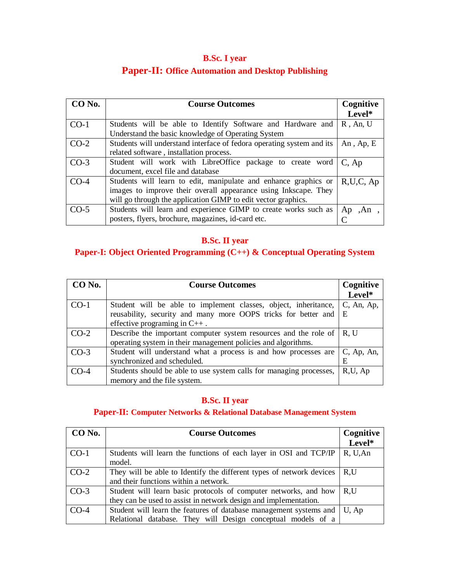# **B.Sc. I year**

# **Paper-II: Office Automation and Desktop Publishing**

| CO No. | <b>Course Outcomes</b>                                                | Cognitive     |
|--------|-----------------------------------------------------------------------|---------------|
|        |                                                                       | Level*        |
| $CO-1$ | Students will be able to Identify Software and Hardware and           | $R$ , An, U   |
|        | Understand the basic knowledge of Operating System                    |               |
| $CO-2$ | Students will understand interface of fedora operating system and its | An, Ap, $E$   |
|        | related software, installation process.                               |               |
| $CO-3$ | Student will work with LibreOffice package to create word             | $C$ , Ap      |
|        | document, excel file and database                                     |               |
| $CO-4$ | Students will learn to edit, manipulate and enhance graphics or       | R, U, C, Ap   |
|        | images to improve their overall appearance using Inkscape. They       |               |
|        | will go through the application GIMP to edit vector graphics.         |               |
| $CO-5$ | Students will learn and experience GIMP to create works such as       | $Ap$ , $An$ , |
|        | posters, flyers, brochure, magazines, id-card etc.                    |               |

# **B.Sc. II year**

# **Paper-I: Object Oriented Programming (C++) & Conceptual Operating System**

| $CO$ No. | <b>Course Outcomes</b>                                              | Cognitive     |
|----------|---------------------------------------------------------------------|---------------|
|          |                                                                     | Level*        |
| $CO-1$   | Student will be able to implement classes, object, inheritance,     | $C$ , An, Ap, |
|          | reusability, security and many more OOPS tricks for better and      | E             |
|          | effective programing in $C_{++}$ .                                  |               |
| $CO-2$   | Describe the important computer system resources and the role of    | R, U          |
|          | operating system in their management policies and algorithms.       |               |
| $CO-3$   | Student will understand what a process is and how processes are     | $C$ , Ap, An, |
|          | synchronized and scheduled.                                         | E             |
| $CO-4$   | Students should be able to use system calls for managing processes, | R,U, Ap       |
|          | memory and the file system.                                         |               |

#### **B.Sc. II year**

#### **Paper-II: Computer Networks & Relational Database Management System**

| CO No. | <b>Course Outcomes</b>                                               | Cognitive |
|--------|----------------------------------------------------------------------|-----------|
|        |                                                                      | Level*    |
| $CO-1$ | Students will learn the functions of each layer in OSI and TCP/IP    | R, U, An  |
|        | model.                                                               |           |
| $CO-2$ | They will be able to Identify the different types of network devices | R.U       |
|        | and their functions within a network.                                |           |
| $CO-3$ | Student will learn basic protocols of computer networks, and how     | R.U       |
|        | they can be used to assist in network design and implementation.     |           |
| $CO-4$ | Student will learn the features of database management systems and   | U, Ap     |
|        | Relational database. They will Design conceptual models of a         |           |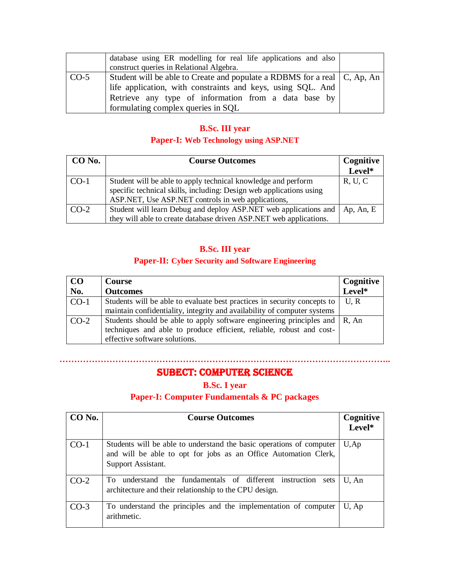|        | database using ER modelling for real life applications and also<br>construct queries in Relational Algebra.                                                                                                                             |  |
|--------|-----------------------------------------------------------------------------------------------------------------------------------------------------------------------------------------------------------------------------------------|--|
| $CO-5$ | Student will be able to Create and populate a RDBMS for a real   C, Ap, An<br>life application, with constraints and keys, using SQL. And<br>Retrieve any type of information from a data base by<br>formulating complex queries in SOL |  |

#### **B.Sc. III year**

#### **Paper-I: Web Technology using ASP.NET**

| CO No. | <b>Course Outcomes</b>                                              | Cognitive |
|--------|---------------------------------------------------------------------|-----------|
|        |                                                                     | Level*    |
| $CO-1$ | Student will be able to apply technical knowledge and perform       | R, U, C   |
|        | specific technical skills, including: Design web applications using |           |
|        | ASP.NET, Use ASP.NET controls in web applications,                  |           |
| $CO-2$ | Student will learn Debug and deploy ASP.NET web applications and    | Ap, An, E |
|        | they will able to create database driven ASP.NET web applications.  |           |

## **B.Sc. III year**

## **Paper-II: Cyber Security and Software Engineering**

| $\bf CO$ | Course                                                                                                                                                                                     | Cognitive |
|----------|--------------------------------------------------------------------------------------------------------------------------------------------------------------------------------------------|-----------|
| No.      | <b>Outcomes</b>                                                                                                                                                                            | Level*    |
| $CO-1$   | Students will be able to evaluate best practices in security concepts to                                                                                                                   | U.R       |
|          | maintain confidentiality, integrity and availability of computer systems                                                                                                                   |           |
| $CO-2$   | Students should be able to apply software engineering principles and $\mid$ R, An<br>techniques and able to produce efficient, reliable, robust and cost-<br>effective software solutions. |           |

## Subect: computer science

**…………………………………………………………………………………………………..**

#### **B.Sc. I year**

#### **Paper-I: Computer Fundamentals & PC packages**

| CO No. | <b>Course Outcomes</b>                                                                                                                                        | Cognitive<br>Level* |
|--------|---------------------------------------------------------------------------------------------------------------------------------------------------------------|---------------------|
| $CO-1$ | Students will be able to understand the basic operations of computer<br>and will be able to opt for jobs as an Office Automation Clerk,<br>Support Assistant. | $U$ , Ap            |
| $CO-2$ | understand the fundamentals of different instruction<br>To<br>sets<br>architecture and their relationship to the CPU design.                                  | U, An               |
| $CO-3$ | To understand the principles and the implementation of computer<br>arithmetic.                                                                                | U, Ap               |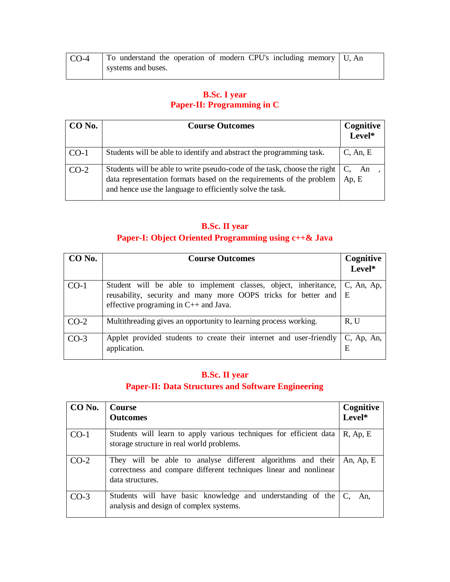| CO-4 | To understand the operation of modern CPU's including memory   U, An |  |
|------|----------------------------------------------------------------------|--|
|      | systems and buses.                                                   |  |

## **B.Sc. I year Paper-II: Programming in C**

| CO No. | <b>Course Outcomes</b>                                                                                                                                                                                        | Cognitive<br>Level* |
|--------|---------------------------------------------------------------------------------------------------------------------------------------------------------------------------------------------------------------|---------------------|
| $CO-1$ | Students will be able to identify and abstract the programming task.                                                                                                                                          | $C$ , An, E         |
| $CO-2$ | Students will be able to write pseudo-code of the task, choose the right<br>data representation formats based on the requirements of the problem<br>and hence use the language to efficiently solve the task. | C.<br>An<br>Ap, E   |

## **B.Sc. II year**

## **Paper-I: Object Oriented Programming using c++& Java**

| CO No. | <b>Course Outcomes</b>                                                                                                                                                         | Cognitive          |
|--------|--------------------------------------------------------------------------------------------------------------------------------------------------------------------------------|--------------------|
|        |                                                                                                                                                                                | Level*             |
| $CO-1$ | Student will be able to implement classes, object, inheritance,<br>reusability, security and many more OOPS tricks for better and E<br>effective programing in $C++$ and Java. | $C$ , An, Ap,      |
| $CO-2$ | Multithreading gives an opportunity to learning process working.                                                                                                               | R, U               |
| $CO-3$ | Applet provided students to create their internet and user-friendly<br>application.                                                                                            | $C$ , Ap, An,<br>E |

# **B.Sc. II year Paper-II: Data Structures and Software Engineering**

| CO No. | Course<br><b>Outcomes</b>                                                                                                                            | Cognitive<br>Level* |
|--------|------------------------------------------------------------------------------------------------------------------------------------------------------|---------------------|
| $CO-1$ | Students will learn to apply various techniques for efficient data<br>storage structure in real world problems.                                      | $R$ , Ap, E         |
| $CO-2$ | They will be able to analyse different algorithms and their<br>correctness and compare different techniques linear and nonlinear<br>data structures. | An, Ap, E           |
| $CO-3$ | Students will have basic knowledge and understanding of the<br>analysis and design of complex systems.                                               | An.                 |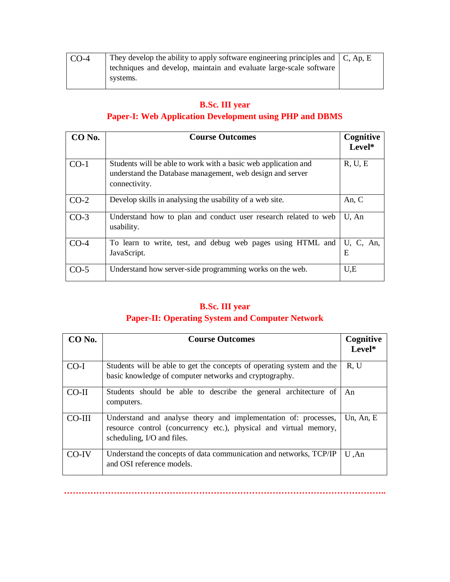| CO-4 | They develop the ability to apply software engineering principles and $\mathcal{C}$ , Ap, E |  |
|------|---------------------------------------------------------------------------------------------|--|
|      | techniques and develop, maintain and evaluate large-scale software                          |  |
|      | systems.                                                                                    |  |

# **B.Sc. III year Paper-I: Web Application Development using PHP and DBMS**

| CO No. | <b>Course Outcomes</b>                                                                                                                       | Cognitive<br>Level* |
|--------|----------------------------------------------------------------------------------------------------------------------------------------------|---------------------|
| $CO-1$ | Students will be able to work with a basic web application and<br>understand the Database management, web design and server<br>connectivity. | R, U, E             |
| $CO-2$ | Develop skills in analysing the usability of a web site.                                                                                     | An, C               |
| $CO-3$ | Understand how to plan and conduct user research related to web<br>usability.                                                                | U, An               |
| $CO-4$ | To learn to write, test, and debug web pages using HTML and<br>JavaScript.                                                                   | U, C, An,<br>E      |
| $CO-5$ | Understand how server-side programming works on the web.                                                                                     | U,E                 |

## **B.Sc. III year Paper-II: Operating System and Computer Network**

| CO No.   | <b>Course Outcomes</b>                                                                                                                                             | Cognitive<br>Level* |
|----------|--------------------------------------------------------------------------------------------------------------------------------------------------------------------|---------------------|
| $CO-I$   | Students will be able to get the concepts of operating system and the<br>basic knowledge of computer networks and cryptography.                                    | R, U                |
| $CO-II$  | Students should be able to describe the general architecture of<br>computers.                                                                                      | An                  |
| $CO-III$ | Understand and analyse theory and implementation of: processes,<br>resource control (concurrency etc.), physical and virtual memory,<br>scheduling, I/O and files. | Un, An, E           |
| $CO-IV$  | Understand the concepts of data communication and networks, TCP/IP<br>and OSI reference models.                                                                    | $U$ , An            |

**………………………………………………………………………………………………..**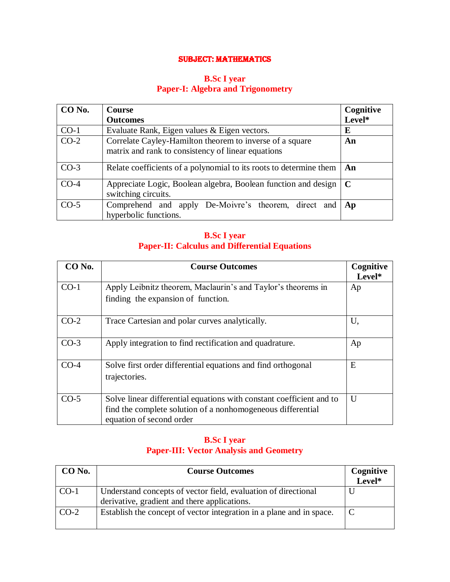#### SUBJECT: MATHEMATICS

#### **B.Sc I year Paper-I: Algebra and Trigonometry**

| CO No. | <b>Course</b>                                                                                                  | Cognitive   |
|--------|----------------------------------------------------------------------------------------------------------------|-------------|
|        | <b>Outcomes</b>                                                                                                | Level*      |
| $CO-1$ | Evaluate Rank, Eigen values & Eigen vectors.                                                                   | E           |
| $CO-2$ | Correlate Cayley-Hamilton theorem to inverse of a square<br>matrix and rank to consistency of linear equations | An          |
| $CO-3$ | Relate coefficients of a polynomial to its roots to determine them                                             | An          |
| $CO-4$ | Appreciate Logic, Boolean algebra, Boolean function and design<br>switching circuits.                          | $\mathbf C$ |
| $CO-5$ | Comprehend and apply De-Moivre's theorem, direct and<br>hyperbolic functions.                                  | Ap          |

#### **B.Sc I year Paper-II: Calculus and Differential Equations**

| CO No. | <b>Course Outcomes</b>                                               | Cognitive |
|--------|----------------------------------------------------------------------|-----------|
|        |                                                                      | Level*    |
| $CO-1$ | Apply Leibnitz theorem, Maclaurin's and Taylor's theorems in         | Ap        |
|        | finding the expansion of function.                                   |           |
| $CO-2$ | Trace Cartesian and polar curves analytically.                       | U,        |
| $CO-3$ | Apply integration to find rectification and quadrature.              | Ap        |
| $CO-4$ | Solve first order differential equations and find orthogonal         | E         |
|        | trajectories.                                                        |           |
| $CO-5$ | Solve linear differential equations with constant coefficient and to | U         |
|        | find the complete solution of a nonhomogeneous differential          |           |
|        | equation of second order                                             |           |

#### **B.Sc I year Paper-III: Vector Analysis and Geometry**

| CO No. | <b>Course Outcomes</b>                                                                                         | Cognitive<br>$L$ evel* |
|--------|----------------------------------------------------------------------------------------------------------------|------------------------|
| $CO-1$ | Understand concepts of vector field, evaluation of directional<br>derivative, gradient and there applications. |                        |
| $CO-2$ | Establish the concept of vector integration in a plane and in space.                                           |                        |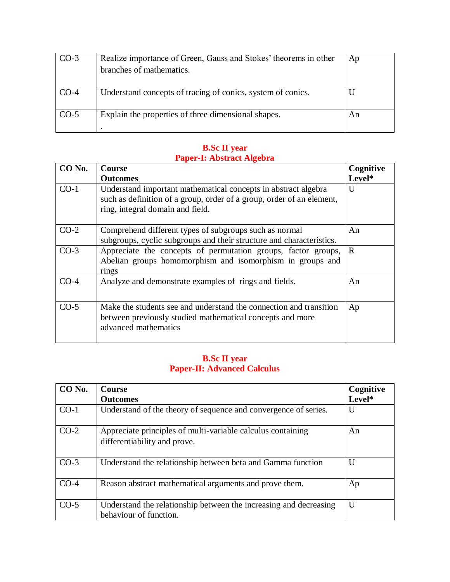| $CO-3$ | Realize importance of Green, Gauss and Stokes' theorems in other | Ap |
|--------|------------------------------------------------------------------|----|
|        | branches of mathematics.                                         |    |
|        |                                                                  |    |
| $CO-4$ | Understand concepts of tracing of conics, system of conics.      |    |
| $CO-5$ | Explain the properties of three dimensional shapes.              | An |
|        |                                                                  |    |

#### **B.Sc II year Paper-I: Abstract Algebra**

| CO No. | <b>Course</b>                                                                                                                                                               | Cognitive    |
|--------|-----------------------------------------------------------------------------------------------------------------------------------------------------------------------------|--------------|
|        | <b>Outcomes</b>                                                                                                                                                             | Level*       |
| $CO-1$ | Understand important mathematical concepts in abstract algebra<br>such as definition of a group, order of a group, order of an element,<br>ring, integral domain and field. | $\mathbf{U}$ |
| $CO-2$ | Comprehend different types of subgroups such as normal<br>subgroups, cyclic subgroups and their structure and characteristics.                                              | An           |
| $CO-3$ | Appreciate the concepts of permutation groups, factor groups,<br>Abelian groups homomorphism and isomorphism in groups and<br>rings                                         | $\mathbf R$  |
| $CO-4$ | Analyze and demonstrate examples of rings and fields.                                                                                                                       | An           |
| $CO-5$ | Make the students see and understand the connection and transition<br>between previously studied mathematical concepts and more<br>advanced mathematics                     | Ap           |

#### **B.Sc II year Paper-II: Advanced Calculus**

| CO No. | <b>Course</b>                                                                               | Cognitive |
|--------|---------------------------------------------------------------------------------------------|-----------|
|        | <b>Outcomes</b>                                                                             | Level*    |
| $CO-1$ | Understand of the theory of sequence and convergence of series.                             | U         |
| $CO-2$ | Appreciate principles of multi-variable calculus containing<br>differentiability and prove. | An        |
| $CO-3$ | Understand the relationship between beta and Gamma function                                 | U         |
| $CO-4$ | Reason abstract mathematical arguments and prove them.                                      | Ap        |
| $CO-5$ | Understand the relationship between the increasing and decreasing<br>behaviour of function. | U         |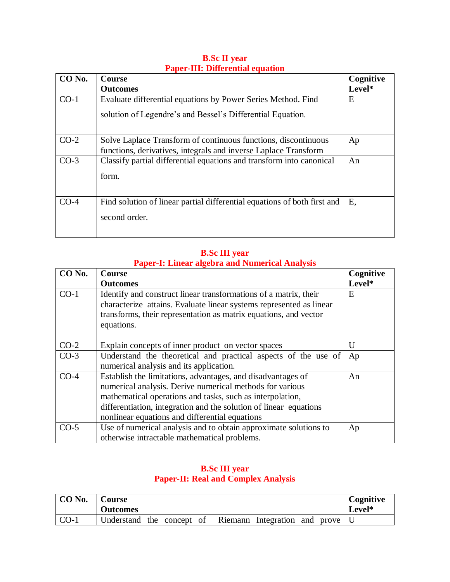| CO No. | <b>Course</b>                                                            | Cognitive |
|--------|--------------------------------------------------------------------------|-----------|
|        | <b>Outcomes</b>                                                          | Level*    |
| $CO-1$ | Evaluate differential equations by Power Series Method. Find             | E         |
|        | solution of Legendre's and Bessel's Differential Equation.               |           |
| $CO-2$ | Solve Laplace Transform of continuous functions, discontinuous           | Ap        |
|        | functions, derivatives, integrals and inverse Laplace Transform          |           |
| $CO-3$ | Classify partial differential equations and transform into canonical     | An        |
|        | form.                                                                    |           |
| $CO-4$ | Find solution of linear partial differential equations of both first and | Е,        |
|        | second order.                                                            |           |
|        |                                                                          |           |

#### **B.Sc II year Paper-III: Differential equation**

#### **B.Sc III year Paper-I: Linear algebra and Numerical Analysis**

| CO <sub>No.</sub> | <b>Course</b>                                                                                                                                                                                                                                                                                               | Cognitive    |
|-------------------|-------------------------------------------------------------------------------------------------------------------------------------------------------------------------------------------------------------------------------------------------------------------------------------------------------------|--------------|
|                   | <b>Outcomes</b>                                                                                                                                                                                                                                                                                             | Level*       |
| $CO-1$            | Identify and construct linear transformations of a matrix, their<br>characterize attains. Evaluate linear systems represented as linear<br>transforms, their representation as matrix equations, and vector<br>equations.                                                                                   | E            |
| $CO-2$            | Explain concepts of inner product on vector spaces                                                                                                                                                                                                                                                          | $\mathbf{U}$ |
| $CO-3$            | Understand the theoretical and practical aspects of the use of<br>numerical analysis and its application.                                                                                                                                                                                                   | Ap           |
| $CO-4$            | Establish the limitations, advantages, and disadvantages of<br>numerical analysis. Derive numerical methods for various<br>mathematical operations and tasks, such as interpolation,<br>differentiation, integration and the solution of linear equations<br>nonlinear equations and differential equations | An           |
| $CO-5$            | Use of numerical analysis and to obtain approximate solutions to<br>otherwise intractable mathematical problems.                                                                                                                                                                                            | Ap           |

#### **B.Sc III year Paper-II: Real and Complex Analysis**

| CO No. | <b>Course</b><br><b>Outcomes</b> |  |         |                       |  | Cognitive<br>Level* |
|--------|----------------------------------|--|---------|-----------------------|--|---------------------|
| $CO-1$ | Understand the concept of        |  | Riemann | Integration and prove |  |                     |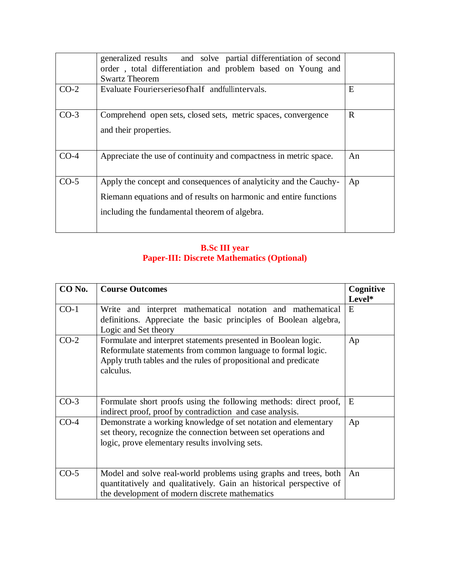|        | generalized results and solve partial differentiation of second<br>order, total differentiation and problem based on Young and<br><b>Swartz Theorem</b>                                 |              |
|--------|-----------------------------------------------------------------------------------------------------------------------------------------------------------------------------------------|--------------|
| $CO-2$ | Evaluate Fourierseries of half and full intervals.                                                                                                                                      | E            |
| $CO-3$ | Comprehend open sets, closed sets, metric spaces, convergence<br>and their properties.                                                                                                  | $\mathbf{R}$ |
| $CO-4$ | Appreciate the use of continuity and compactness in metric space.                                                                                                                       | An           |
| $CO-5$ | Apply the concept and consequences of analyticity and the Cauchy-<br>Riemann equations and of results on harmonic and entire functions<br>including the fundamental theorem of algebra. | Ap           |

#### **B.Sc III year Paper-III: Discrete Mathematics (Optional)**

| CO No. | <b>Course Outcomes</b>                                                                                                                                                                                         | Cognitive |
|--------|----------------------------------------------------------------------------------------------------------------------------------------------------------------------------------------------------------------|-----------|
|        |                                                                                                                                                                                                                | Level*    |
| $CO-1$ | Write and interpret mathematical notation and mathematical<br>definitions. Appreciate the basic principles of Boolean algebra,<br>Logic and Set theory                                                         | E         |
| $CO-2$ | Formulate and interpret statements presented in Boolean logic.<br>Reformulate statements from common language to formal logic.<br>Apply truth tables and the rules of propositional and predicate<br>calculus. | Ap        |
| $CO-3$ | Formulate short proofs using the following methods: direct proof,<br>indirect proof, proof by contradiction and case analysis.                                                                                 | E         |
| $CO-4$ | Demonstrate a working knowledge of set notation and elementary<br>set theory, recognize the connection between set operations and<br>logic, prove elementary results involving sets.                           | Ap        |
| $CO-5$ | Model and solve real-world problems using graphs and trees, both<br>quantitatively and qualitatively. Gain an historical perspective of<br>the development of modern discrete mathematics                      | An        |